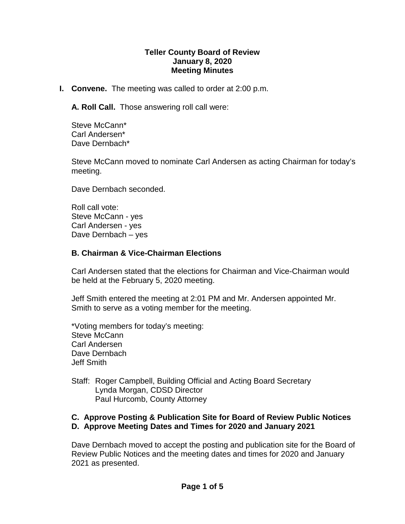#### **Teller County Board of Review January 8, 2020 Meeting Minutes**

**I. Convene.** The meeting was called to order at 2:00 p.m.

**A. Roll Call.** Those answering roll call were:

Steve McCann\* Carl Andersen\* Dave Dernbach\*

Steve McCann moved to nominate Carl Andersen as acting Chairman for today's meeting.

Dave Dernbach seconded.

Roll call vote: Steve McCann - yes Carl Andersen - yes Dave Dernbach – yes

#### **B. Chairman & Vice-Chairman Elections**

Carl Andersen stated that the elections for Chairman and Vice-Chairman would be held at the February 5, 2020 meeting.

Jeff Smith entered the meeting at 2:01 PM and Mr. Andersen appointed Mr. Smith to serve as a voting member for the meeting.

\*Voting members for today's meeting: Steve McCann Carl Andersen Dave Dernbach Jeff Smith

Staff: Roger Campbell, Building Official and Acting Board Secretary Lynda Morgan, CDSD Director Paul Hurcomb, County Attorney

#### **C. Approve Posting & Publication Site for Board of Review Public Notices D. Approve Meeting Dates and Times for 2020 and January 2021**

Dave Dernbach moved to accept the posting and publication site for the Board of Review Public Notices and the meeting dates and times for 2020 and January 2021 as presented.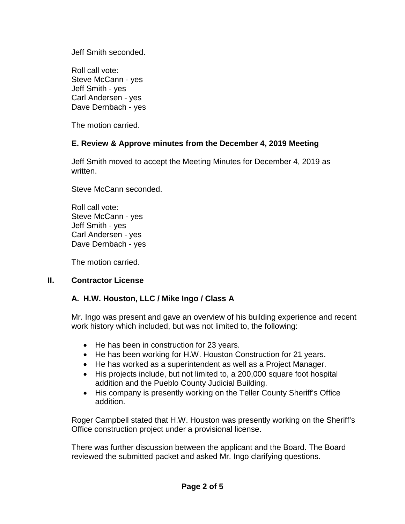Jeff Smith seconded.

Roll call vote: Steve McCann - yes Jeff Smith - yes Carl Andersen - yes Dave Dernbach - yes

The motion carried.

# **E. Review & Approve minutes from the December 4, 2019 Meeting**

Jeff Smith moved to accept the Meeting Minutes for December 4, 2019 as written.

Steve McCann seconded.

Roll call vote: Steve McCann - yes Jeff Smith - yes Carl Andersen - yes Dave Dernbach - yes

The motion carried.

### **II. Contractor License**

# **A. H.W. Houston, LLC / Mike Ingo / Class A**

Mr. Ingo was present and gave an overview of his building experience and recent work history which included, but was not limited to, the following:

- He has been in construction for 23 years.
- He has been working for H.W. Houston Construction for 21 years.
- He has worked as a superintendent as well as a Project Manager.
- His projects include, but not limited to, a 200,000 square foot hospital addition and the Pueblo County Judicial Building.
- His company is presently working on the Teller County Sheriff's Office addition.

Roger Campbell stated that H.W. Houston was presently working on the Sheriff's Office construction project under a provisional license.

There was further discussion between the applicant and the Board. The Board reviewed the submitted packet and asked Mr. Ingo clarifying questions.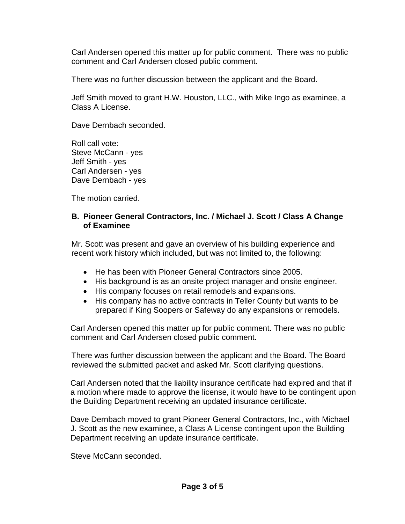Carl Andersen opened this matter up for public comment. There was no public comment and Carl Andersen closed public comment.

There was no further discussion between the applicant and the Board.

Jeff Smith moved to grant H.W. Houston, LLC., with Mike Ingo as examinee, a Class A License.

Dave Dernbach seconded.

Roll call vote: Steve McCann - yes Jeff Smith - yes Carl Andersen - yes Dave Dernbach - yes

The motion carried.

### **B. Pioneer General Contractors, Inc. / Michael J. Scott / Class A Change of Examinee**

Mr. Scott was present and gave an overview of his building experience and recent work history which included, but was not limited to, the following:

- He has been with Pioneer General Contractors since 2005.
- His background is as an onsite project manager and onsite engineer.
- His company focuses on retail remodels and expansions.
- His company has no active contracts in Teller County but wants to be prepared if King Soopers or Safeway do any expansions or remodels.

Carl Andersen opened this matter up for public comment. There was no public comment and Carl Andersen closed public comment.

There was further discussion between the applicant and the Board. The Board reviewed the submitted packet and asked Mr. Scott clarifying questions.

Carl Andersen noted that the liability insurance certificate had expired and that if a motion where made to approve the license, it would have to be contingent upon the Building Department receiving an updated insurance certificate.

Dave Dernbach moved to grant Pioneer General Contractors, Inc., with Michael J. Scott as the new examinee, a Class A License contingent upon the Building Department receiving an update insurance certificate.

Steve McCann seconded.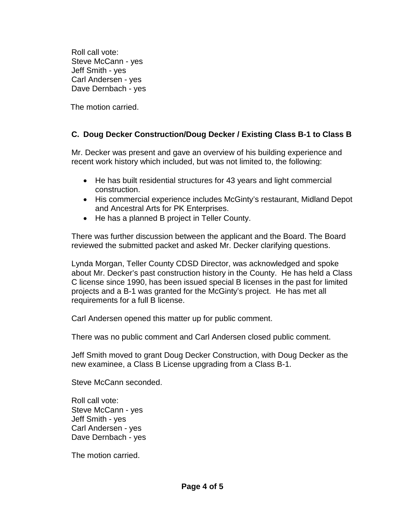Roll call vote: Steve McCann - yes Jeff Smith - yes Carl Andersen - yes Dave Dernbach - yes

The motion carried.

## **C. Doug Decker Construction/Doug Decker / Existing Class B-1 to Class B**

Mr. Decker was present and gave an overview of his building experience and recent work history which included, but was not limited to, the following:

- He has built residential structures for 43 years and light commercial construction.
- His commercial experience includes McGinty's restaurant, Midland Depot and Ancestral Arts for PK Enterprises.
- He has a planned B project in Teller County.

There was further discussion between the applicant and the Board. The Board reviewed the submitted packet and asked Mr. Decker clarifying questions.

Lynda Morgan, Teller County CDSD Director, was acknowledged and spoke about Mr. Decker's past construction history in the County. He has held a Class C license since 1990, has been issued special B licenses in the past for limited projects and a B-1 was granted for the McGinty's project. He has met all requirements for a full B license.

Carl Andersen opened this matter up for public comment.

There was no public comment and Carl Andersen closed public comment.

Jeff Smith moved to grant Doug Decker Construction, with Doug Decker as the new examinee, a Class B License upgrading from a Class B-1.

Steve McCann seconded.

Roll call vote: Steve McCann - yes Jeff Smith - yes Carl Andersen - yes Dave Dernbach - yes

The motion carried.